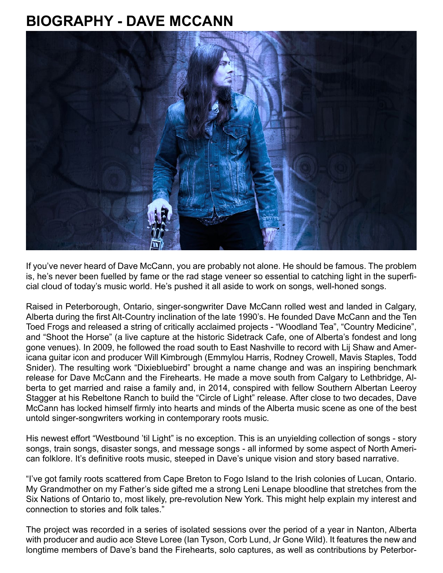## **BIOGRAPHY - DAVE MCCANN**



If you've never heard of Dave McCann, you are probably not alone. He should be famous. The problem is, he's never been fuelled by fame or the rad stage veneer so essential to catching light in the superficial cloud of today's music world. He's pushed it all aside to work on songs, well-honed songs.

Raised in Peterborough, Ontario, singer-songwriter Dave McCann rolled west and landed in Calgary, Alberta during the first Alt-Country inclination of the late 1990's. He founded Dave McCann and the Ten Toed Frogs and released a string of critically acclaimed projects - "Woodland Tea", "Country Medicine", and "Shoot the Horse" (a live capture at the historic Sidetrack Cafe, one of Alberta's fondest and long gone venues). In 2009, he followed the road south to East Nashville to record with Lij Shaw and Americana guitar icon and producer Will Kimbrough (Emmylou Harris, Rodney Crowell, Mavis Staples, Todd Snider). The resulting work "Dixiebluebird" brought a name change and was an inspiring benchmark release for Dave McCann and the Firehearts. He made a move south from Calgary to Lethbridge, Alberta to get married and raise a family and, in 2014, conspired with fellow Southern Albertan Leeroy Stagger at his Rebeltone Ranch to build the "Circle of Light" release. After close to two decades, Dave McCann has locked himself firmly into hearts and minds of the Alberta music scene as one of the best untold singer-songwriters working in contemporary roots music.

His newest effort "Westbound 'til Light" is no exception. This is an unyielding collection of songs - story songs, train songs, disaster songs, and message songs - all informed by some aspect of North American folklore. It's definitive roots music, steeped in Dave's unique vision and story based narrative.

"I've got family roots scattered from Cape Breton to Fogo Island to the Irish colonies of Lucan, Ontario. My Grandmother on my Father's side gifted me a strong Leni Lenape bloodline that stretches from the Six Nations of Ontario to, most likely, pre-revolution New York. This might help explain my interest and connection to stories and folk tales."

The project was recorded in a series of isolated sessions over the period of a year in Nanton, Alberta with producer and audio ace Steve Loree (Ian Tyson, Corb Lund, Jr Gone Wild). It features the new and longtime members of Dave's band the Firehearts, solo captures, as well as contributions by Peterbor